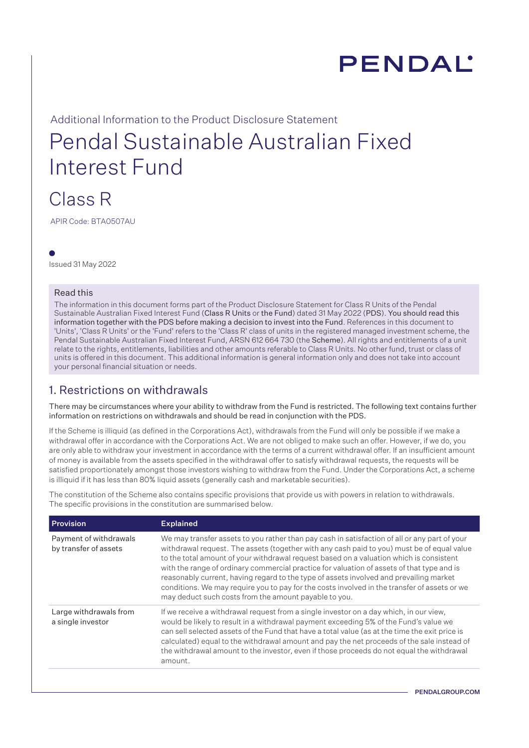# **PENDAL'**

## Additional Information to the Product Disclosure Statement Pendal Sustainable Australian Fixed Interest Fund

## Class R

APIR Code: BTA0507AU

Issued 31 May 2022

#### Read this

The information in this document forms part of the Product Disclosure Statement for Class R Units of the Pendal Sustainable Australian Fixed Interest Fund (Class R Units or the Fund) dated 31 May 2022 (PDS). You should read this information together with the PDS before making a decision to invest into the Fund. References in this document to 'Units', 'Class R Units' or the 'Fund' refers to the 'Class R' class of units in the registered managed investment scheme, the Pendal Sustainable Australian Fixed Interest Fund, ARSN 612 664 730 (the Scheme). All rights and entitlements of a unit relate to the rights, entitlements, liabilities and other amounts referable to Class R Units. No other fund, trust or class of units is offered in this document. This additional information is general information only and does not take into account your personal financial situation or needs.

## 1. Restrictions on withdrawals

There may be circumstances where your ability to withdraw from the Fund is restricted. The following text contains further information on restrictions on withdrawals and should be read in conjunction with the PDS.

If the Scheme is illiquid (as defined in the Corporations Act), withdrawals from the Fund will only be possible if we make a withdrawal offer in accordance with the Corporations Act. We are not obliged to make such an offer. However, if we do, you are only able to withdraw your investment in accordance with the terms of a current withdrawal offer. If an insufficient amount of money is available from the assets specified in the withdrawal offer to satisfy withdrawal requests, the requests will be satisfied proportionately amongst those investors wishing to withdraw from the Fund. Under the Corporations Act, a scheme is illiquid if it has less than 80% liquid assets (generally cash and marketable securities).

The constitution of the Scheme also contains specific provisions that provide us with powers in relation to withdrawals. The specific provisions in the constitution are summarised below.

| <b>Explained</b>                                                                                                                                                                                                                                                                                                                                                                                                                                                                                                                                                                                                                        |
|-----------------------------------------------------------------------------------------------------------------------------------------------------------------------------------------------------------------------------------------------------------------------------------------------------------------------------------------------------------------------------------------------------------------------------------------------------------------------------------------------------------------------------------------------------------------------------------------------------------------------------------------|
| We may transfer assets to you rather than pay cash in satisfaction of all or any part of your<br>withdrawal request. The assets (together with any cash paid to you) must be of equal value<br>to the total amount of your withdrawal request based on a valuation which is consistent<br>with the range of ordinary commercial practice for valuation of assets of that type and is<br>reasonably current, having regard to the type of assets involved and prevailing market<br>conditions. We may require you to pay for the costs involved in the transfer of assets or we<br>may deduct such costs from the amount payable to you. |
| If we receive a withdrawal request from a single investor on a day which, in our view,<br>would be likely to result in a withdrawal payment exceeding 5% of the Fund's value we<br>can sell selected assets of the Fund that have a total value (as at the time the exit price is<br>calculated) equal to the withdrawal amount and pay the net proceeds of the sale instead of<br>the withdrawal amount to the investor, even if those proceeds do not equal the withdrawal<br>amount.                                                                                                                                                 |
|                                                                                                                                                                                                                                                                                                                                                                                                                                                                                                                                                                                                                                         |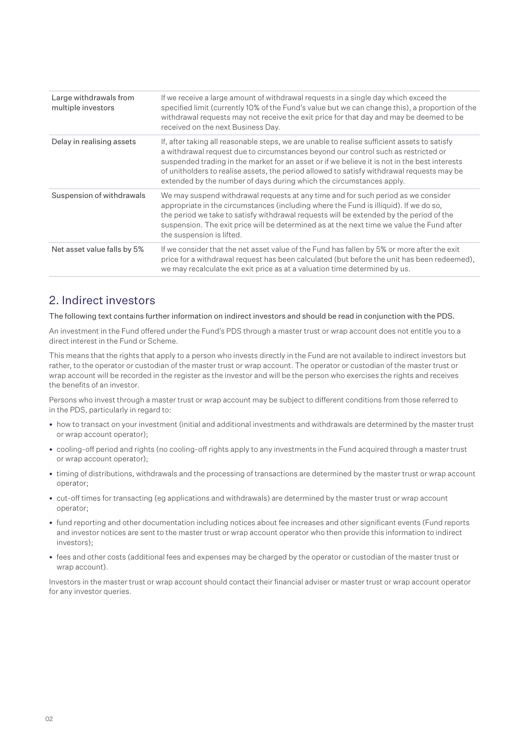| Large withdrawals from<br>multiple investors | If we receive a large amount of withdrawal requests in a single day which exceed the<br>specified limit (currently 10% of the Fund's value but we can change this), a proportion of the<br>withdrawal requests may not receive the exit price for that day and may be deemed to be<br>received on the next Business Day.                                                                                                                                  |
|----------------------------------------------|-----------------------------------------------------------------------------------------------------------------------------------------------------------------------------------------------------------------------------------------------------------------------------------------------------------------------------------------------------------------------------------------------------------------------------------------------------------|
| Delay in realising assets                    | If, after taking all reasonable steps, we are unable to realise sufficient assets to satisfy<br>a withdrawal request due to circumstances beyond our control such as restricted or<br>suspended trading in the market for an asset or if we believe it is not in the best interests<br>of unitholders to realise assets, the period allowed to satisfy withdrawal requests may be<br>extended by the number of days during which the circumstances apply. |
| Suspension of withdrawals                    | We may suspend withdrawal requests at any time and for such period as we consider<br>appropriate in the circumstances (including where the Fund is illiquid). If we do so,<br>the period we take to satisfy withdrawal requests will be extended by the period of the<br>suspension. The exit price will be determined as at the next time we value the Fund after<br>the suspension is lifted.                                                           |
| Net asset value falls by 5%                  | If we consider that the net asset value of the Fund has fallen by 5% or more after the exit<br>price for a withdrawal request has been calculated (but before the unit has been redeemed),<br>we may recalculate the exit price as at a valuation time determined by us.                                                                                                                                                                                  |

## 2. Indirect investors

The following text contains further information on indirect investors and should be read in conjunction with the PDS.

An investment in the Fund offered under the Fund's PDS through a master trust or wrap account does not entitle you to a direct interest in the Fund or Scheme.

This means that the rights that apply to a person who invests directly in the Fund are not available to indirect investors but rather, to the operator or custodian of the master trust or wrap account. The operator or custodian of the master trust or wrap account will be recorded in the register as the investor and will be the person who exercises the rights and receives the benefits of an investor.

Persons who invest through a master trust or wrap account may be subject to different conditions from those referred to in the PDS, particularly in regard to:

- how to transact on your investment (initial and additional investments and withdrawals are determined by the master trust or wrap account operator);
- cooling-off period and rights (no cooling-off rights apply to any investments in the Fund acquired through a master trust or wrap account operator);
- timing of distributions, withdrawals and the processing of transactions are determined by the master trust or wrap account operator;
- cut-off times for transacting (eg applications and withdrawals) are determined by the master trust or wrap account operator;
- fund reporting and other documentation including notices about fee increases and other significant events (Fund reports and investor notices are sent to the master trust or wrap account operator who then provide this information to indirect investors);
- fees and other costs (additional fees and expenses may be charged by the operator or custodian of the master trust or wrap account).

Investors in the master trust or wrap account should contact their financial adviser or master trust or wrap account operator for any investor queries.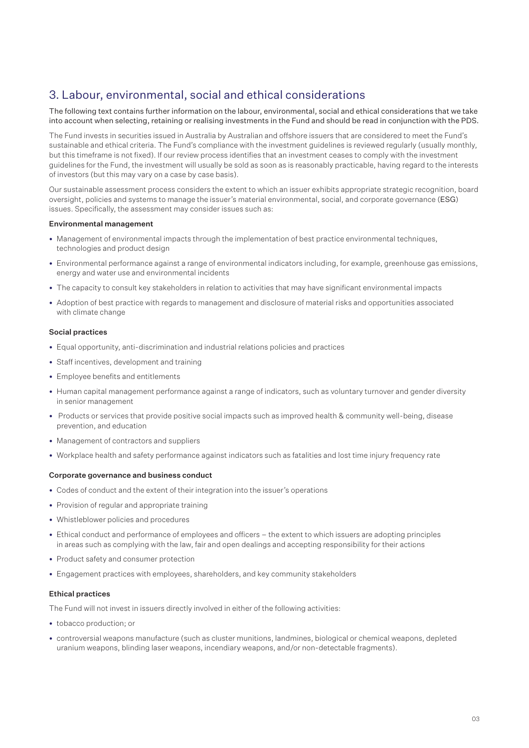## 3. Labour, environmental, social and ethical considerations

The following text contains further information on the labour, environmental, social and ethical considerations that we take into account when selecting, retaining or realising investments in the Fund and should be read in conjunction with the PDS.

The Fund invests in securities issued in Australia by Australian and offshore issuers that are considered to meet the Fund's sustainable and ethical criteria. The Fund's compliance with the investment guidelines is reviewed regularly (usually monthly, but this timeframe is not fixed). If our review process identifies that an investment ceases to comply with the investment guidelines for the Fund, the investment will usually be sold as soon as is reasonably practicable, having regard to the interests of investors (but this may vary on a case by case basis).

Our sustainable assessment process considers the extent to which an issuer exhibits appropriate strategic recognition, board oversight, policies and systems to manage the issuer's material environmental, social, and corporate governance (ESG) issues. Specifically, the assessment may consider issues such as:

#### Environmental management

- Management of environmental impacts through the implementation of best practice environmental techniques, technologies and product design
- Environmental performance against a range of environmental indicators including, for example, greenhouse gas emissions, energy and water use and environmental incidents
- The capacity to consult key stakeholders in relation to activities that may have significant environmental impacts
- Adoption of best practice with regards to management and disclosure of material risks and opportunities associated with climate change

#### Social practices

- Equal opportunity, anti-discrimination and industrial relations policies and practices
- Staff incentives, development and training
- Employee benefits and entitlements
- Human capital management performance against a range of indicators, such as voluntary turnover and gender diversity in senior management
- Products or services that provide positive social impacts such as improved health & community well-being, disease prevention, and education
- Management of contractors and suppliers
- Workplace health and safety performance against indicators such as fatalities and lost time injury frequency rate

#### Corporate governance and business conduct

- Codes of conduct and the extent of their integration into the issuer's operations
- Provision of regular and appropriate training
- Whistleblower policies and procedures
- Ethical conduct and performance of employees and officers the extent to which issuers are adopting principles in areas such as complying with the law, fair and open dealings and accepting responsibility for their actions
- Product safety and consumer protection
- Engagement practices with employees, shareholders, and key community stakeholders

#### Ethical practices

The Fund will not invest in issuers directly involved in either of the following activities:

- tobacco production; or
- controversial weapons manufacture (such as cluster munitions, landmines, biological or chemical weapons, depleted uranium weapons, blinding laser weapons, incendiary weapons, and/or non-detectable fragments).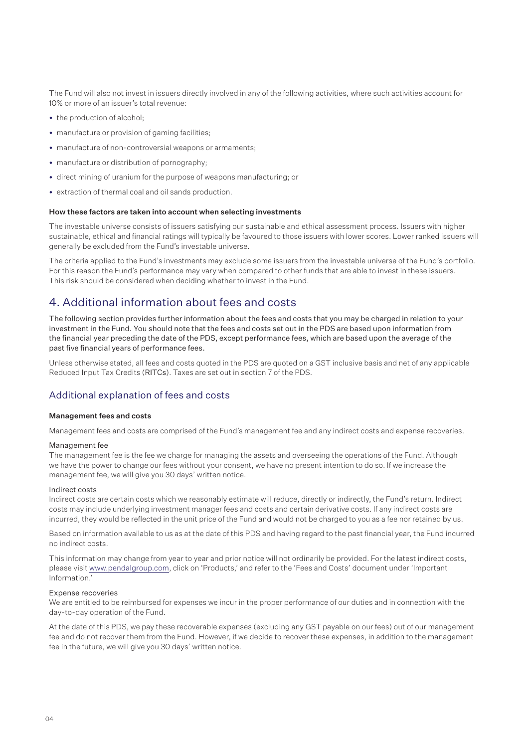The Fund will also not invest in issuers directly involved in any of the following activities, where such activities account for 10% or more of an issuer's total revenue:

- the production of alcohol:
- manufacture or provision of gaming facilities:
- manufacture of non-controversial weapons or armaments;
- manufacture or distribution of pornography;
- direct mining of uranium for the purpose of weapons manufacturing; or
- extraction of thermal coal and oil sands production.

#### How these factors are taken into account when selecting investments

The investable universe consists of issuers satisfying our sustainable and ethical assessment process. Issuers with higher sustainable, ethical and financial ratings will typically be favoured to those issuers with lower scores. Lower ranked issuers will generally be excluded from the Fund's investable universe.

The criteria applied to the Fund's investments may exclude some issuers from the investable universe of the Fund's portfolio. For this reason the Fund's performance may vary when compared to other funds that are able to invest in these issuers. This risk should be considered when deciding whether to invest in the Fund.

## 4. Additional information about fees and costs

The following section provides further information about the fees and costs that you may be charged in relation to your investment in the Fund. You should note that the fees and costs set out in the PDS are based upon information from the financial year preceding the date of the PDS, except performance fees, which are based upon the average of the past five financial years of performance fees.

Unless otherwise stated, all fees and costs quoted in the PDS are quoted on a GST inclusive basis and net of any applicable Reduced Input Tax Credits (RITCs). Taxes are set out in section 7 of the PDS.

### Additional explanation of fees and costs

#### Management fees and costs

Management fees and costs are comprised of the Fund's management fee and any indirect costs and expense recoveries.

#### Management fee

The management fee is the fee we charge for managing the assets and overseeing the operations of the Fund. Although we have the power to change our fees without your consent, we have no present intention to do so. If we increase the management fee, we will give you 30 days' written notice.

#### Indirect costs

Indirect costs are certain costs which we reasonably estimate will reduce, directly or indirectly, the Fund's return. Indirect costs may include underlying investment manager fees and costs and certain derivative costs. If any indirect costs are incurred, they would be reflected in the unit price of the Fund and would not be charged to you as a fee nor retained by us.

Based on information available to us as at the date of this PDS and having regard to the past financial year, the Fund incurred no indirect costs.

This information may change from year to year and prior notice will not ordinarily be provided. For the latest indirect costs, please visit www.pendalgroup.com, click on 'Products,' and refer to the 'Fees and Costs' document under 'Important Information.'

#### Expense recoveries

We are entitled to be reimbursed for expenses we incur in the proper performance of our duties and in connection with the day-to-day operation of the Fund.

At the date of this PDS, we pay these recoverable expenses (excluding any GST payable on our fees) out of our management fee and do not recover them from the Fund. However, if we decide to recover these expenses, in addition to the management fee in the future, we will give you 30 days' written notice.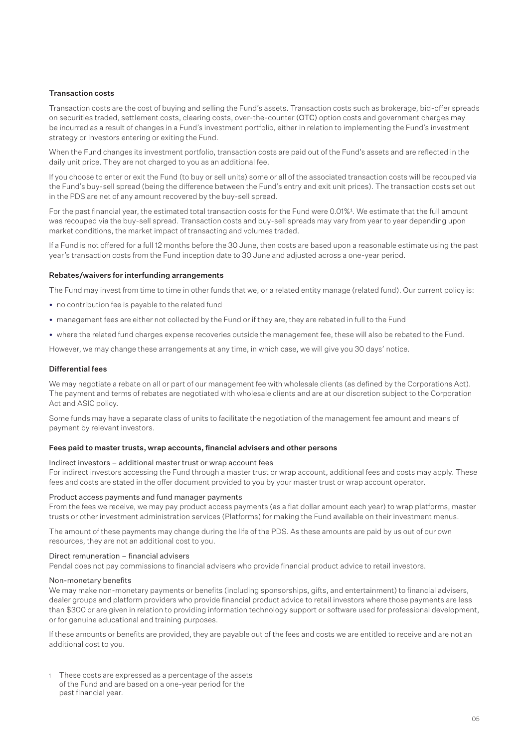#### Transaction costs

Transaction costs are the cost of buying and selling the Fund's assets. Transaction costs such as brokerage, bid-offer spreads on securities traded, settlement costs, clearing costs, over-the-counter (OTC) option costs and government charges may be incurred as a result of changes in a Fund's investment portfolio, either in relation to implementing the Fund's investment strategy or investors entering or exiting the Fund.

When the Fund changes its investment portfolio, transaction costs are paid out of the Fund's assets and are reflected in the daily unit price. They are not charged to you as an additional fee.

If you choose to enter or exit the Fund (to buy or sell units) some or all of the associated transaction costs will be recouped via the Fund's buy-sell spread (being the difference between the Fund's entry and exit unit prices). The transaction costs set out in the PDS are net of any amount recovered by the buy-sell spread.

For the past financial year, the estimated total transaction costs for the Fund were 0.01%<sup>1</sup>. We estimate that the full amount was recouped via the buy-sell spread. Transaction costs and buy-sell spreads may vary from year to year depending upon market conditions, the market impact of transacting and volumes traded.

If a Fund is not offered for a full 12 months before the 30 June, then costs are based upon a reasonable estimate using the past year's transaction costs from the Fund inception date to 30 June and adjusted across a one-year period.

#### Rebates/waivers for interfunding arrangements

The Fund may invest from time to time in other funds that we, or a related entity manage (related fund). Our current policy is:

- no contribution fee is payable to the related fund
- management fees are either not collected by the Fund or if they are, they are rebated in full to the Fund
- where the related fund charges expense recoveries outside the management fee, these will also be rebated to the Fund.

However, we may change these arrangements at any time, in which case, we will give you 30 days' notice.

#### Differential fees

We may negotiate a rebate on all or part of our management fee with wholesale clients (as defined by the Corporations Act). The payment and terms of rebates are negotiated with wholesale clients and are at our discretion subject to the Corporation Act and ASIC policy.

Some funds may have a separate class of units to facilitate the negotiation of the management fee amount and means of payment by relevant investors.

#### Fees paid to master trusts, wrap accounts, financial advisers and other persons

#### Indirect investors – additional master trust or wrap account fees

For indirect investors accessing the Fund through a master trust or wrap account, additional fees and costs may apply. These fees and costs are stated in the offer document provided to you by your master trust or wrap account operator.

#### Product access payments and fund manager payments

From the fees we receive, we may pay product access payments (as a flat dollar amount each year) to wrap platforms, master trusts or other investment administration services (Platforms) for making the Fund available on their investment menus.

The amount of these payments may change during the life of the PDS. As these amounts are paid by us out of our own resources, they are not an additional cost to you.

#### Direct remuneration – financial advisers

Pendal does not pay commissions to financial advisers who provide financial product advice to retail investors.

#### Non-monetary benefits

We may make non-monetary payments or benefits (including sponsorships, gifts, and entertainment) to financial advisers, dealer groups and platform providers who provide financial product advice to retail investors where those payments are less than \$300 or are given in relation to providing information technology support or software used for professional development, or for genuine educational and training purposes.

If these amounts or benefits are provided, they are payable out of the fees and costs we are entitled to receive and are not an additional cost to you.

1 These costs are expressed as a percentage of the assets of the Fund and are based on a one-year period for the past financial year.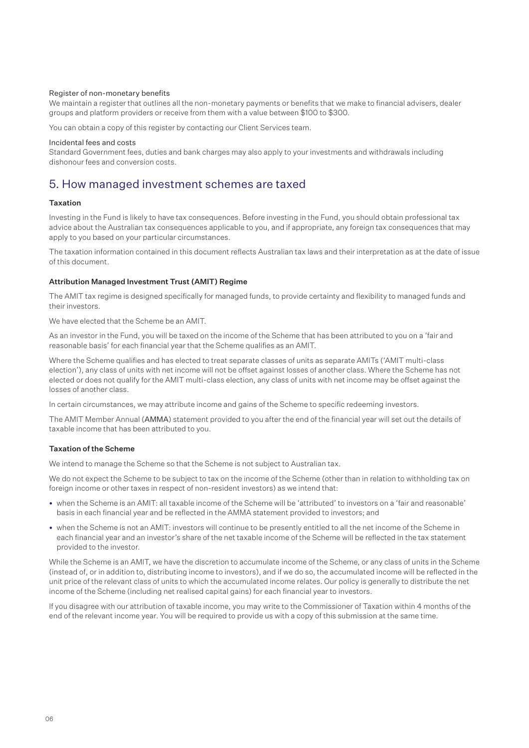#### Register of non-monetary benefits

We maintain a register that outlines all the non-monetary payments or benefits that we make to financial advisers, dealer groups and platform providers or receive from them with a value between \$100 to \$300.

You can obtain a copy of this register by contacting our Client Services team.

#### Incidental fees and costs

Standard Government fees, duties and bank charges may also apply to your investments and withdrawals including dishonour fees and conversion costs.

### 5. How managed investment schemes are taxed

#### Taxation

Investing in the Fund is likely to have tax consequences. Before investing in the Fund, you should obtain professional tax advice about the Australian tax consequences applicable to you, and if appropriate, any foreign tax consequences that may apply to you based on your particular circumstances.

The taxation information contained in this document reflects Australian tax laws and their interpretation as at the date of issue of this document.

#### Attribution Managed Investment Trust (AMIT) Regime

The AMIT tax regime is designed specifically for managed funds, to provide certainty and flexibility to managed funds and their investors.

We have elected that the Scheme be an AMIT.

As an investor in the Fund, you will be taxed on the income of the Scheme that has been attributed to you on a 'fair and reasonable basis' for each financial year that the Scheme qualifies as an AMIT.

Where the Scheme qualifies and has elected to treat separate classes of units as separate AMITs ('AMIT multi-class election'), any class of units with net income will not be offset against losses of another class. Where the Scheme has not elected or does not qualify for the AMIT multi-class election, any class of units with net income may be offset against the losses of another class.

In certain circumstances, we may attribute income and gains of the Scheme to specific redeeming investors.

The AMIT Member Annual (AMMA) statement provided to you after the end of the financial year will set out the details of taxable income that has been attributed to you.

#### Taxation of the Scheme

We intend to manage the Scheme so that the Scheme is not subject to Australian tax.

We do not expect the Scheme to be subject to tax on the income of the Scheme (other than in relation to withholding tax on foreign income or other taxes in respect of non-resident investors) as we intend that:

- when the Scheme is an AMIT: all taxable income of the Scheme will be 'attributed' to investors on a 'fair and reasonable' basis in each financial year and be reflected in the AMMA statement provided to investors; and
- when the Scheme is not an AMIT: investors will continue to be presently entitled to all the net income of the Scheme in each financial year and an investor's share of the net taxable income of the Scheme will be reflected in the tax statement provided to the investor.

While the Scheme is an AMIT, we have the discretion to accumulate income of the Scheme, or any class of units in the Scheme (instead of, or in addition to, distributing income to investors), and if we do so, the accumulated income will be reflected in the unit price of the relevant class of units to which the accumulated income relates. Our policy is generally to distribute the net income of the Scheme (including net realised capital gains) for each financial year to investors.

If you disagree with our attribution of taxable income, you may write to the Commissioner of Taxation within 4 months of the end of the relevant income year. You will be required to provide us with a copy of this submission at the same time.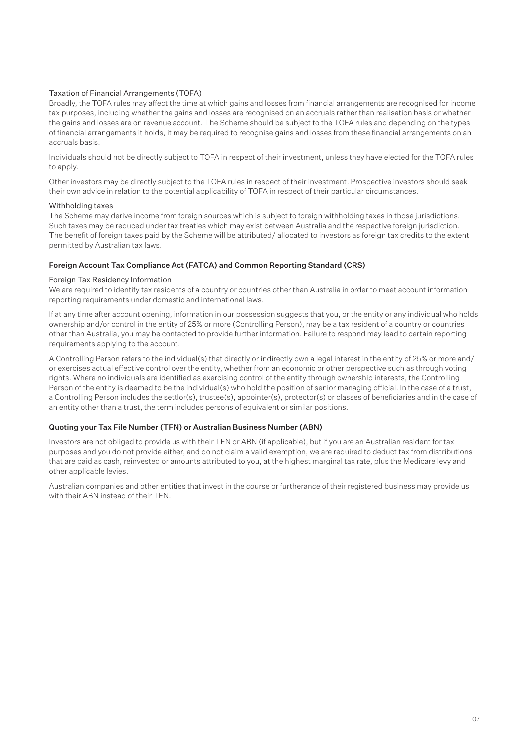#### Taxation of Financial Arrangements (TOFA)

Broadly, the TOFA rules may affect the time at which gains and losses from financial arrangements are recognised for income tax purposes, including whether the gains and losses are recognised on an accruals rather than realisation basis or whether the gains and losses are on revenue account. The Scheme should be subject to the TOFA rules and depending on the types of financial arrangements it holds, it may be required to recognise gains and losses from these financial arrangements on an accruals basis.

Individuals should not be directly subject to TOFA in respect of their investment, unless they have elected for the TOFA rules to apply.

Other investors may be directly subject to the TOFA rules in respect of their investment. Prospective investors should seek their own advice in relation to the potential applicability of TOFA in respect of their particular circumstances.

#### Withholding taxes

The Scheme may derive income from foreign sources which is subject to foreign withholding taxes in those jurisdictions. Such taxes may be reduced under tax treaties which may exist between Australia and the respective foreign jurisdiction. The benefit of foreign taxes paid by the Scheme will be attributed/ allocated to investors as foreign tax credits to the extent permitted by Australian tax laws.

#### Foreign Account Tax Compliance Act (FATCA) and Common Reporting Standard (CRS)

#### Foreign Tax Residency Information

We are required to identify tax residents of a country or countries other than Australia in order to meet account information reporting requirements under domestic and international laws.

If at any time after account opening, information in our possession suggests that you, or the entity or any individual who holds ownership and/or control in the entity of 25% or more (Controlling Person), may be a tax resident of a country or countries other than Australia, you may be contacted to provide further information. Failure to respond may lead to certain reporting requirements applying to the account.

A Controlling Person refers to the individual(s) that directly or indirectly own a legal interest in the entity of 25% or more and/ or exercises actual effective control over the entity, whether from an economic or other perspective such as through voting rights. Where no individuals are identified as exercising control of the entity through ownership interests, the Controlling Person of the entity is deemed to be the individual(s) who hold the position of senior managing official. In the case of a trust, a Controlling Person includes the settlor(s), trustee(s), appointer(s), protector(s) or classes of beneficiaries and in the case of an entity other than a trust, the term includes persons of equivalent or similar positions.

#### Quoting your Tax File Number (TFN) or Australian Business Number (ABN)

Investors are not obliged to provide us with their TFN or ABN (if applicable), but if you are an Australian resident for tax purposes and you do not provide either, and do not claim a valid exemption, we are required to deduct tax from distributions that are paid as cash, reinvested or amounts attributed to you, at the highest marginal tax rate, plus the Medicare levy and other applicable levies.

Australian companies and other entities that invest in the course or furtherance of their registered business may provide us with their ABN instead of their TFN.